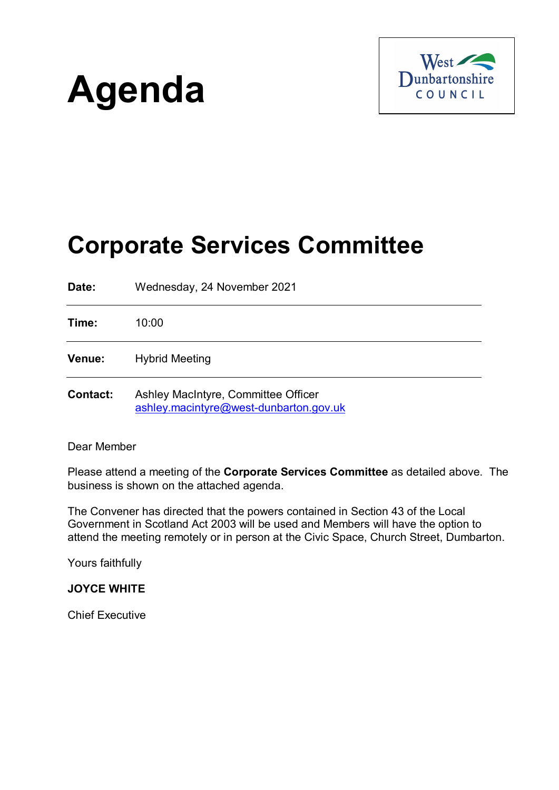# **Agenda**



## **Corporate Services Committee**

**Date:** Wednesday, 24 November 2021 **Time:** 10:00 **Venue:** Hybrid Meeting **Contact:** Ashley MacIntyre, Committee Officer [ashley.macintyre@west-dunbarton.gov.uk](mailto:ashley.macintyre@west-dunbarton.gov.uk)

#### Dear Member

Please attend a meeting of the **Corporate Services Committee** as detailed above. The business is shown on the attached agenda.

The Convener has directed that the powers contained in Section 43 of the Local Government in Scotland Act 2003 will be used and Members will have the option to attend the meeting remotely or in person at the Civic Space, Church Street, Dumbarton.

Yours faithfully

**JOYCE WHITE**

Chief Executive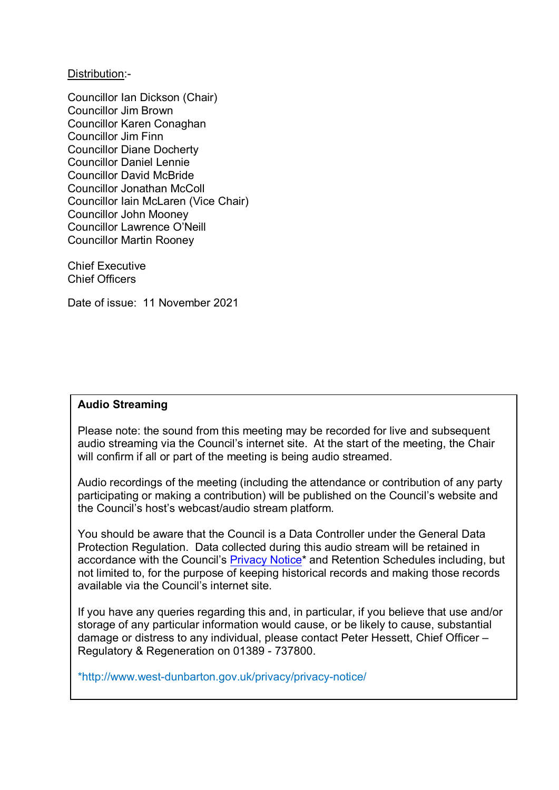Distribution:-

Councillor Ian Dickson (Chair) Councillor Jim Brown Councillor Karen Conaghan Councillor Jim Finn Councillor Diane Docherty Councillor Daniel Lennie Councillor David McBride Councillor Jonathan McColl Councillor Iain McLaren (Vice Chair) Councillor John Mooney Councillor Lawrence O'Neill Councillor Martin Rooney

Chief Executive Chief Officers

Date of issue: 11 November 2021

#### **Audio Streaming**

Please note: the sound from this meeting may be recorded for live and subsequent audio streaming via the Council's internet site. At the start of the meeting, the Chair will confirm if all or part of the meeting is being audio streamed.

Audio recordings of the meeting (including the attendance or contribution of any party participating or making a contribution) will be published on the Council's website and the Council's host's webcast/audio stream platform.

You should be aware that the Council is a Data Controller under the General Data Protection Regulation. Data collected during this audio stream will be retained in accordance with the Council's [Privacy Notice\\*](http://www.west-dunbarton.gov.uk/privacy/privacy-notice/) and Retention Schedules including, but not limited to, for the purpose of keeping historical records and making those records available via the Council's internet site.

If you have any queries regarding this and, in particular, if you believe that use and/or storage of any particular information would cause, or be likely to cause, substantial damage or distress to any individual, please contact Peter Hessett, Chief Officer – Regulatory & Regeneration on 01389 - 737800.

\*http://www.west-dunbarton.gov.uk/privacy/privacy-notice/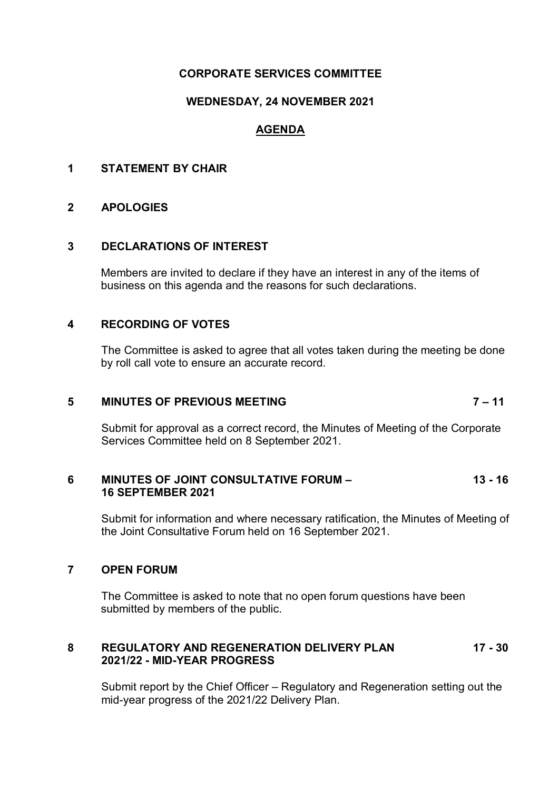#### **CORPORATE SERVICES COMMITTEE**

#### **WEDNESDAY, 24 NOVEMBER 2021**

### **AGENDA**

#### **1 STATEMENT BY CHAIR**

#### **2 APOLOGIES**

#### **3 DECLARATIONS OF INTEREST**

Members are invited to declare if they have an interest in any of the items of business on this agenda and the reasons for such declarations.

#### **4 RECORDING OF VOTES**

The Committee is asked to agree that all votes taken during the meeting be done by roll call vote to ensure an accurate record.

#### **5 MINUTES OF PREVIOUS MEETING 7 – 11**

Submit for approval as a correct record, the Minutes of Meeting of the Corporate Services Committee held on 8 September 2021.

#### **6 MINUTES OF JOINT CONSULTATIVE FORUM – 13 - 16 16 SEPTEMBER 2021**

Submit for information and where necessary ratification, the Minutes of Meeting of the Joint Consultative Forum held on 16 September 2021.

#### **7 OPEN FORUM**

The Committee is asked to note that no open forum questions have been submitted by members of the public.

#### **8 REGULATORY AND REGENERATION DELIVERY PLAN 17 - 30 2021/22 - MID-YEAR PROGRESS**

Submit report by the Chief Officer – Regulatory and Regeneration setting out the mid-year progress of the 2021/22 Delivery Plan.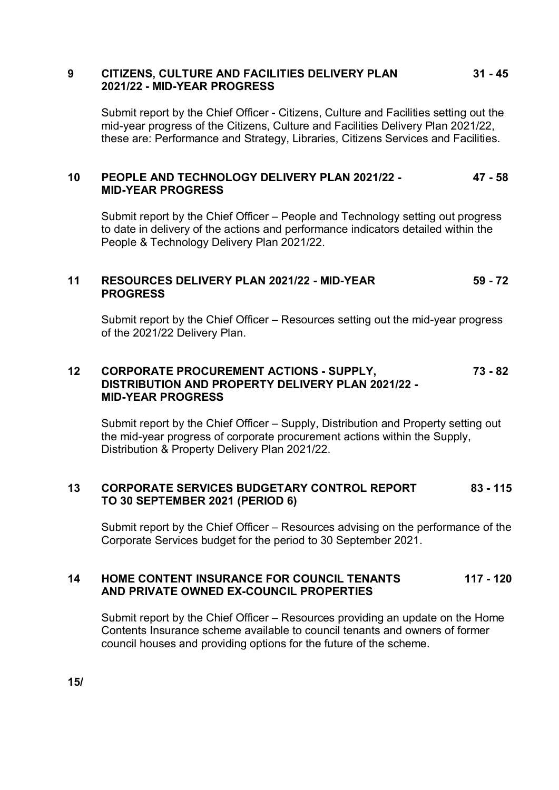#### **9 CITIZENS, CULTURE AND FACILITIES DELIVERY PLAN 31 - 45 2021/22 - MID-YEAR PROGRESS**

Submit report by the Chief Officer - Citizens, Culture and Facilities setting out the mid-year progress of the Citizens, Culture and Facilities Delivery Plan 2021/22, these are: Performance and Strategy, Libraries, Citizens Services and Facilities.

#### **10 PEOPLE AND TECHNOLOGY DELIVERY PLAN 2021/22 - 47 - 58 MID-YEAR PROGRESS**

Submit report by the Chief Officer – People and Technology setting out progress to date in delivery of the actions and performance indicators detailed within the People & Technology Delivery Plan 2021/22.

#### **11 RESOURCES DELIVERY PLAN 2021/22 - MID-YEAR 59 - 72 PROGRESS**

Submit report by the Chief Officer – Resources setting out the mid-year progress of the 2021/22 Delivery Plan.

#### **12 CORPORATE PROCUREMENT ACTIONS - SUPPLY, 73 - 82 DISTRIBUTION AND PROPERTY DELIVERY PLAN 2021/22 - MID-YEAR PROGRESS**

Submit report by the Chief Officer – Supply, Distribution and Property setting out the mid-year progress of corporate procurement actions within the Supply, Distribution & Property Delivery Plan 2021/22.

#### **13 CORPORATE SERVICES BUDGETARY CONTROL REPORT 83 - 115 TO 30 SEPTEMBER 2021 (PERIOD 6)**

Submit report by the Chief Officer – Resources advising on the performance of the Corporate Services budget for the period to 30 September 2021.

#### **14 HOME CONTENT INSURANCE FOR COUNCIL TENANTS 117 - 120 AND PRIVATE OWNED EX-COUNCIL PROPERTIES**

Submit report by the Chief Officer – Resources providing an update on the Home Contents Insurance scheme available to council tenants and owners of former council houses and providing options for the future of the scheme.